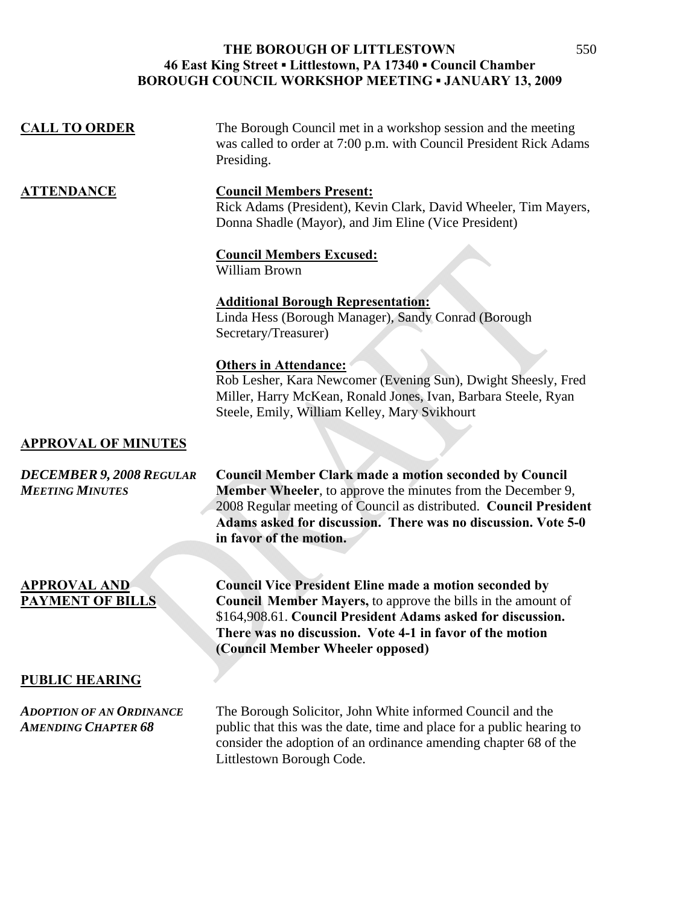| <b>CALL TO ORDER</b>                                          | The Borough Council met in a workshop session and the meeting<br>was called to order at 7:00 p.m. with Council President Rick Adams<br>Presiding.                                                                                                                                                     |
|---------------------------------------------------------------|-------------------------------------------------------------------------------------------------------------------------------------------------------------------------------------------------------------------------------------------------------------------------------------------------------|
| <b>ATTENDANCE</b>                                             | <b>Council Members Present:</b><br>Rick Adams (President), Kevin Clark, David Wheeler, Tim Mayers,<br>Donna Shadle (Mayor), and Jim Eline (Vice President)                                                                                                                                            |
|                                                               | <b>Council Members Excused:</b><br><b>William Brown</b>                                                                                                                                                                                                                                               |
|                                                               | <b>Additional Borough Representation:</b><br>Linda Hess (Borough Manager), Sandy Conrad (Borough<br>Secretary/Treasurer)                                                                                                                                                                              |
|                                                               | <b>Others in Attendance:</b><br>Rob Lesher, Kara Newcomer (Evening Sun), Dwight Sheesly, Fred<br>Miller, Harry McKean, Ronald Jones, Ivan, Barbara Steele, Ryan<br>Steele, Emily, William Kelley, Mary Svikhourt                                                                                      |
| <b>APPROVAL OF MINUTES</b>                                    |                                                                                                                                                                                                                                                                                                       |
| <b>DECEMBER 9, 2008 REGULAR</b><br><b>MEETING MINUTES</b>     | <b>Council Member Clark made a motion seconded by Council</b><br><b>Member Wheeler</b> , to approve the minutes from the December 9,<br>2008 Regular meeting of Council as distributed. Council President<br>Adams asked for discussion. There was no discussion. Vote 5-0<br>in favor of the motion. |
| <b>APPROVAL AND</b><br><b>PAYMENT OF BILLS</b>                | <b>Council Vice President Eline made a motion seconded by</b><br><b>Council Member Mayers, to approve the bills in the amount of</b><br>\$164,908.61. Council President Adams asked for discussion.<br>There was no discussion. Vote 4-1 in favor of the motion<br>(Council Member Wheeler opposed)   |
| <b>PUBLIC HEARING</b>                                         |                                                                                                                                                                                                                                                                                                       |
| <b>ADOPTION OF AN ORDINANCE</b><br><b>AMENDING CHAPTER 68</b> | The Borough Solicitor, John White informed Council and the<br>public that this was the date, time and place for a public hearing to<br>consider the adoption of an ordinance amending chapter 68 of the<br>Littlestown Borough Code.                                                                  |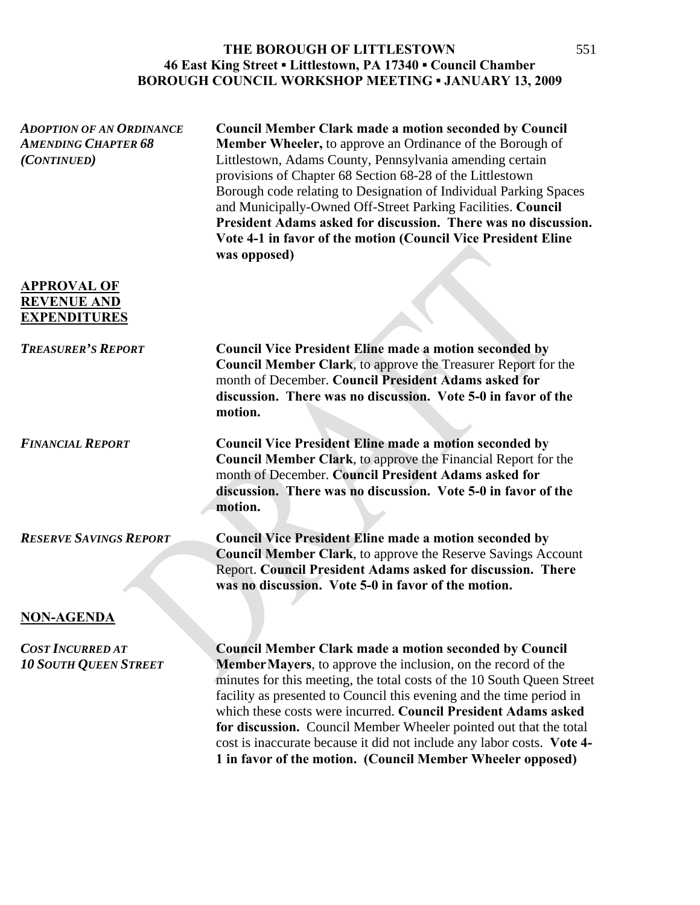| <b>ADOPTION OF AN ORDINANCE</b><br><b>AMENDING CHAPTER 68</b><br>(CONTINUED) | <b>Council Member Clark made a motion seconded by Council</b><br><b>Member Wheeler, to approve an Ordinance of the Borough of</b><br>Littlestown, Adams County, Pennsylvania amending certain<br>provisions of Chapter 68 Section 68-28 of the Littlestown<br>Borough code relating to Designation of Individual Parking Spaces<br>and Municipally-Owned Off-Street Parking Facilities. Council<br>President Adams asked for discussion. There was no discussion.<br>Vote 4-1 in favor of the motion (Council Vice President Eline<br>was opposed)              |
|------------------------------------------------------------------------------|-----------------------------------------------------------------------------------------------------------------------------------------------------------------------------------------------------------------------------------------------------------------------------------------------------------------------------------------------------------------------------------------------------------------------------------------------------------------------------------------------------------------------------------------------------------------|
| <b>APPROVAL OF</b><br><b>REVENUE AND</b><br><b>EXPENDITURES</b>              |                                                                                                                                                                                                                                                                                                                                                                                                                                                                                                                                                                 |
| <b>TREASURER'S REPORT</b>                                                    | <b>Council Vice President Eline made a motion seconded by</b><br><b>Council Member Clark</b> , to approve the Treasurer Report for the<br>month of December. Council President Adams asked for<br>discussion. There was no discussion. Vote 5-0 in favor of the<br>motion.                                                                                                                                                                                                                                                                                      |
| <b>FINANCIAL REPORT</b>                                                      | <b>Council Vice President Eline made a motion seconded by</b><br>Council Member Clark, to approve the Financial Report for the<br>month of December. Council President Adams asked for<br>discussion. There was no discussion. Vote 5-0 in favor of the<br>motion.                                                                                                                                                                                                                                                                                              |
| <b>RESERVE SAVINGS REPORT</b>                                                | <b>Council Vice President Eline made a motion seconded by</b><br><b>Council Member Clark</b> , to approve the Reserve Savings Account<br>Report. Council President Adams asked for discussion. There<br>was no discussion. Vote 5-0 in favor of the motion.                                                                                                                                                                                                                                                                                                     |
| <b>NON-AGENDA</b>                                                            |                                                                                                                                                                                                                                                                                                                                                                                                                                                                                                                                                                 |
| <b>COST INCURRED AT</b><br><b>10 SOUTH QUEEN STREET</b>                      | <b>Council Member Clark made a motion seconded by Council</b><br>Member Mayers, to approve the inclusion, on the record of the<br>minutes for this meeting, the total costs of the 10 South Queen Street<br>facility as presented to Council this evening and the time period in<br>which these costs were incurred. Council President Adams asked<br>for discussion. Council Member Wheeler pointed out that the total<br>cost is inaccurate because it did not include any labor costs. Vote 4-<br>1 in favor of the motion. (Council Member Wheeler opposed) |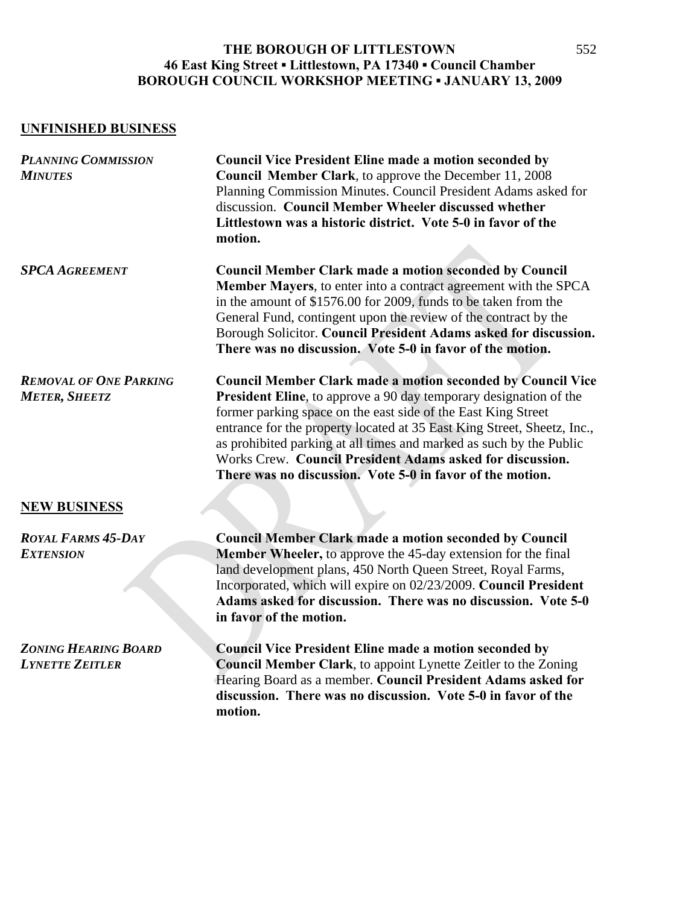# **UNFINISHED BUSINESS**

| <b>PLANNING COMMISSION</b><br><b>MINUTES</b>          | <b>Council Vice President Eline made a motion seconded by</b><br>Council Member Clark, to approve the December 11, 2008<br>Planning Commission Minutes. Council President Adams asked for<br>discussion. Council Member Wheeler discussed whether<br>Littlestown was a historic district. Vote 5-0 in favor of the<br>motion.                                                                                                                                                                |
|-------------------------------------------------------|----------------------------------------------------------------------------------------------------------------------------------------------------------------------------------------------------------------------------------------------------------------------------------------------------------------------------------------------------------------------------------------------------------------------------------------------------------------------------------------------|
| <b>SPCA AGREEMENT</b>                                 | <b>Council Member Clark made a motion seconded by Council</b><br>Member Mayers, to enter into a contract agreement with the SPCA<br>in the amount of \$1576.00 for 2009, funds to be taken from the<br>General Fund, contingent upon the review of the contract by the<br>Borough Solicitor. Council President Adams asked for discussion.<br>There was no discussion. Vote 5-0 in favor of the motion.                                                                                      |
| <b>REMOVAL OF ONE PARKING</b><br><b>METER, SHEETZ</b> | <b>Council Member Clark made a motion seconded by Council Vice</b><br><b>President Eline</b> , to approve a 90 day temporary designation of the<br>former parking space on the east side of the East King Street<br>entrance for the property located at 35 East King Street, Sheetz, Inc.,<br>as prohibited parking at all times and marked as such by the Public<br>Works Crew. Council President Adams asked for discussion.<br>There was no discussion. Vote 5-0 in favor of the motion. |
| <b>NEW BUSINESS</b>                                   |                                                                                                                                                                                                                                                                                                                                                                                                                                                                                              |
| <b>ROYAL FARMS 45-DAY</b><br><b>EXTENSION</b>         | <b>Council Member Clark made a motion seconded by Council</b><br><b>Member Wheeler, to approve the 45-day extension for the final</b><br>land development plans, 450 North Queen Street, Royal Farms,<br>Incorporated, which will expire on 02/23/2009. Council President<br>Adams asked for discussion. There was no discussion. Vote 5-0<br>in favor of the motion.                                                                                                                        |
| <b>ZONING HEARING BOARD</b><br><b>LYNETTE ZEITLER</b> | <b>Council Vice President Eline made a motion seconded by</b><br><b>Council Member Clark</b> , to appoint Lynette Zeitler to the Zoning<br>Hearing Board as a member. Council President Adams asked for<br>discussion. There was no discussion. Vote 5-0 in favor of the<br>motion.                                                                                                                                                                                                          |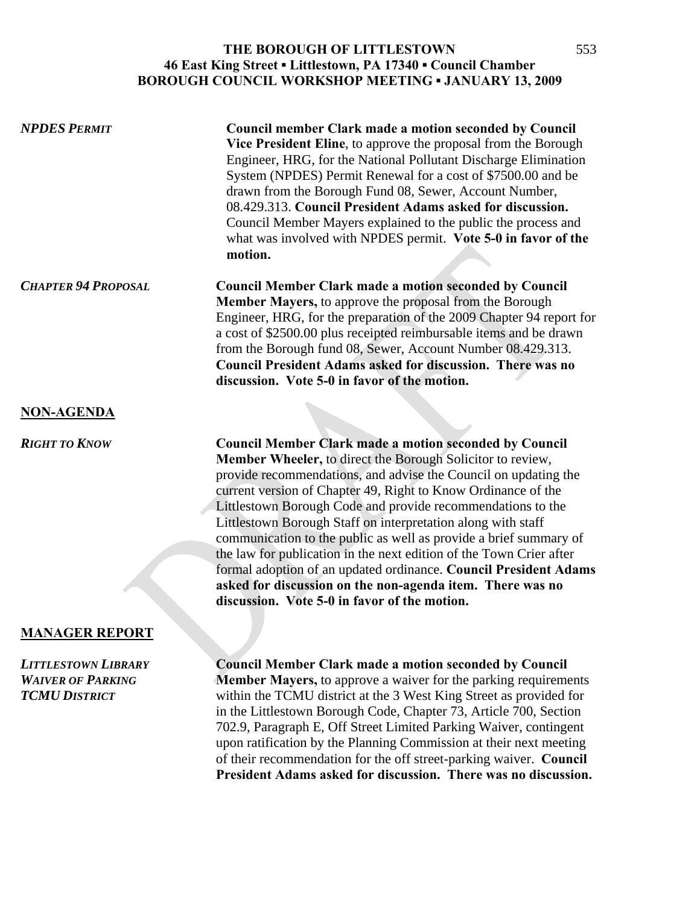| <b>NPDES PERMIT</b>        | <b>Council member Clark made a motion seconded by Council</b><br>Vice President Eline, to approve the proposal from the Borough<br>Engineer, HRG, for the National Pollutant Discharge Elimination<br>System (NPDES) Permit Renewal for a cost of \$7500.00 and be<br>drawn from the Borough Fund 08, Sewer, Account Number,<br>08.429.313. Council President Adams asked for discussion.<br>Council Member Mayers explained to the public the process and<br>what was involved with NPDES permit. Vote 5-0 in favor of the<br>motion.                                                                                                                                                                                      |
|----------------------------|-----------------------------------------------------------------------------------------------------------------------------------------------------------------------------------------------------------------------------------------------------------------------------------------------------------------------------------------------------------------------------------------------------------------------------------------------------------------------------------------------------------------------------------------------------------------------------------------------------------------------------------------------------------------------------------------------------------------------------|
| <b>CHAPTER 94 PROPOSAL</b> | <b>Council Member Clark made a motion seconded by Council</b><br>Member Mayers, to approve the proposal from the Borough<br>Engineer, HRG, for the preparation of the 2009 Chapter 94 report for<br>a cost of \$2500.00 plus receipted reimbursable items and be drawn<br>from the Borough fund 08, Sewer, Account Number 08.429.313.<br><b>Council President Adams asked for discussion. There was no</b><br>discussion. Vote 5-0 in favor of the motion.                                                                                                                                                                                                                                                                  |
| <b>NON-AGENDA</b>          |                                                                                                                                                                                                                                                                                                                                                                                                                                                                                                                                                                                                                                                                                                                             |
| <b>RIGHT TO KNOW</b>       | <b>Council Member Clark made a motion seconded by Council</b><br>Member Wheeler, to direct the Borough Solicitor to review,<br>provide recommendations, and advise the Council on updating the<br>current version of Chapter 49, Right to Know Ordinance of the<br>Littlestown Borough Code and provide recommendations to the<br>Littlestown Borough Staff on interpretation along with staff<br>communication to the public as well as provide a brief summary of<br>the law for publication in the next edition of the Town Crier after<br>formal adoption of an updated ordinance. Council President Adams<br>asked for discussion on the non-agenda item. There was no<br>discussion. Vote 5-0 in favor of the motion. |

#### **MANAGER REPORT**

*LITTLESTOWN LIBRARY* **Council Member Clark made a motion seconded by Council** *WAIVER OF PARKING* **Member Mayers,** to approve a waiver for the parking requirements

**TCMU DISTRICT** within the TCMU district at the 3 West King Street as provided for in the Littlestown Borough Code, Chapter 73, Article 700, Section 702.9, Paragraph E, Off Street Limited Parking Waiver, contingent upon ratification by the Planning Commission at their next meeting of their recommendation for the off street-parking waiver. **Council President Adams asked for discussion. There was no discussion.**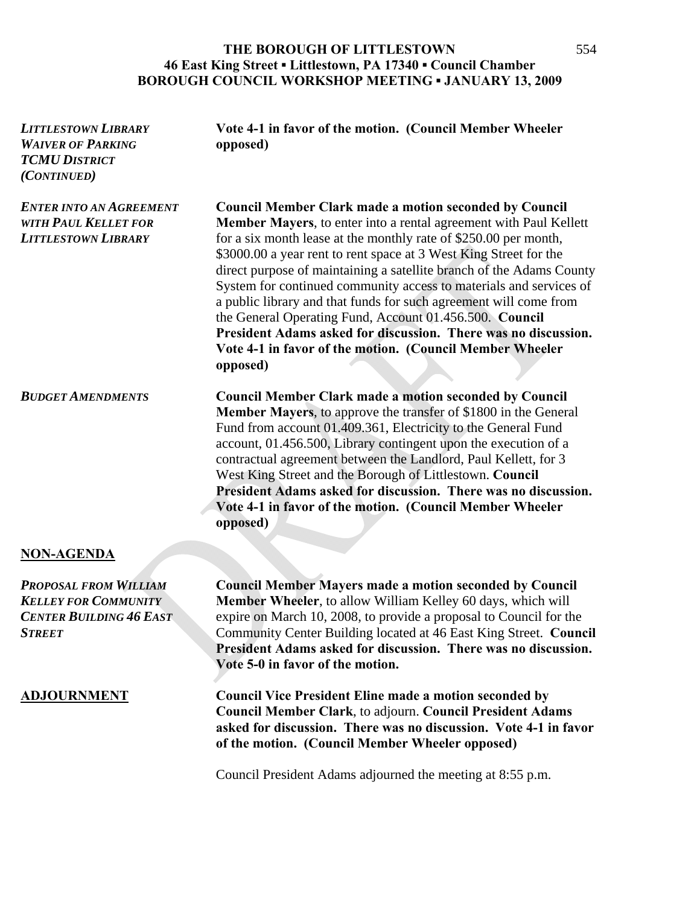| <b>LITTLESTOWN LIBRARY</b><br><b>WAIVER OF PARKING</b><br><b>TCMU DISTRICT</b><br>(CONTINUED)                  | Vote 4-1 in favor of the motion. (Council Member Wheeler<br>opposed)                                                                                                                                                                                                                                                                                                                                                                                                                                                                                                                                                                                                                                        |
|----------------------------------------------------------------------------------------------------------------|-------------------------------------------------------------------------------------------------------------------------------------------------------------------------------------------------------------------------------------------------------------------------------------------------------------------------------------------------------------------------------------------------------------------------------------------------------------------------------------------------------------------------------------------------------------------------------------------------------------------------------------------------------------------------------------------------------------|
| <b>ENTER INTO AN AGREEMENT</b><br><b>WITH PAUL KELLET FOR</b><br><b>LITTLESTOWN LIBRARY</b>                    | <b>Council Member Clark made a motion seconded by Council</b><br><b>Member Mayers</b> , to enter into a rental agreement with Paul Kellett<br>for a six month lease at the monthly rate of \$250.00 per month,<br>\$3000.00 a year rent to rent space at 3 West King Street for the<br>direct purpose of maintaining a satellite branch of the Adams County<br>System for continued community access to materials and services of<br>a public library and that funds for such agreement will come from<br>the General Operating Fund, Account 01.456.500. Council<br>President Adams asked for discussion. There was no discussion.<br>Vote 4-1 in favor of the motion. (Council Member Wheeler<br>opposed) |
| <b>BUDGET AMENDMENTS</b>                                                                                       | <b>Council Member Clark made a motion seconded by Council</b><br><b>Member Mayers</b> , to approve the transfer of \$1800 in the General<br>Fund from account 01.409.361, Electricity to the General Fund<br>account, 01.456.500, Library contingent upon the execution of a<br>contractual agreement between the Landlord, Paul Kellett, for 3<br>West King Street and the Borough of Littlestown. Council<br>President Adams asked for discussion. There was no discussion.<br>Vote 4-1 in favor of the motion. (Council Member Wheeler<br>opposed)                                                                                                                                                       |
| <b>NON-AGENDA</b>                                                                                              |                                                                                                                                                                                                                                                                                                                                                                                                                                                                                                                                                                                                                                                                                                             |
| <b>PROPOSAL FROM WILLIAM</b><br><b>KELLEY FOR COMMUNITY</b><br><b>CENTER BUILDING 46 EAST</b><br><b>STREET</b> | <b>Council Member Mayers made a motion seconded by Council</b><br>Member Wheeler, to allow William Kelley 60 days, which will<br>expire on March 10, 2008, to provide a proposal to Council for the<br>Community Center Building located at 46 East King Street. Council<br>President Adams asked for discussion. There was no discussion.<br>Vote 5-0 in favor of the motion.                                                                                                                                                                                                                                                                                                                              |
| <b>ADJOURNMENT</b>                                                                                             | <b>Council Vice President Eline made a motion seconded by</b><br>Council Member Clark, to adjourn. Council President Adams<br>asked for discussion. There was no discussion. Vote 4-1 in favor<br>of the motion. (Council Member Wheeler opposed)                                                                                                                                                                                                                                                                                                                                                                                                                                                           |

Council President Adams adjourned the meeting at 8:55 p.m.